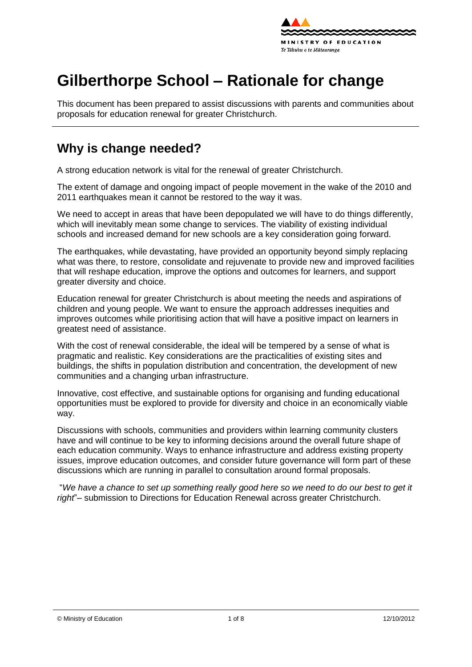

# **Gilberthorpe School – Rationale for change**

This document has been prepared to assist discussions with parents and communities about proposals for education renewal for greater Christchurch.

### **Why is change needed?**

A strong education network is vital for the renewal of greater Christchurch.

The extent of damage and ongoing impact of people movement in the wake of the 2010 and 2011 earthquakes mean it cannot be restored to the way it was.

We need to accept in areas that have been depopulated we will have to do things differently, which will inevitably mean some change to services. The viability of existing individual schools and increased demand for new schools are a key consideration going forward.

The earthquakes, while devastating, have provided an opportunity beyond simply replacing what was there, to [restore,](http://shapingeducation.minedu.govt.nz/guiding-the-process-of-renewal/restore) [consolidate](http://shapingeducation.minedu.govt.nz/guiding-the-process-of-renewal/consolidate) and [rejuvenate](http://shapingeducation.minedu.govt.nz/guiding-the-process-of-renewal/rejuvenate) to provide new and improved facilities that will reshape education, improve the options and outcomes for learners, and support greater diversity and choice.

Education renewal for greater Christchurch is about meeting the needs and aspirations of children and young people. We want to ensure the approach addresses inequities and improves outcomes while prioritising action that will have a positive impact on learners in greatest need of assistance.

With the cost of renewal considerable, the ideal will be tempered by a sense of what is pragmatic and realistic. Key considerations are the practicalities of existing sites and buildings, the shifts in population distribution and concentration, the development of new communities and a changing urban infrastructure.

Innovative, cost effective, and sustainable options for organising and funding educational opportunities must be explored to provide for diversity and choice in an economically viable way.

Discussions with schools, communities and providers within learning community clusters have and will continue to be key to informing decisions around the overall future shape of each education community. Ways to enhance infrastructure and address existing property issues, improve education outcomes, and consider future governance will form part of these discussions which are running in parallel to consultation around formal proposals.

"*We have a chance to set up something really good here so we need to do our best to get it right*"– submission to Directions for Education Renewal across greater Christchurch.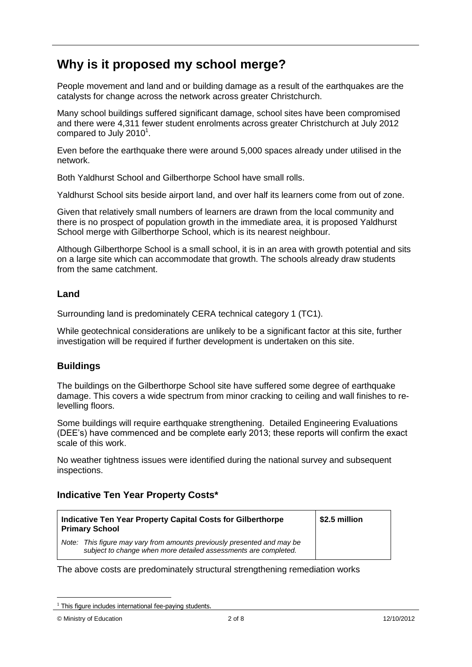### **Why is it proposed my school merge?**

People movement and land and or building damage as a result of the earthquakes are the catalysts for change across the network across greater Christchurch.

Many school buildings suffered significant damage, school sites have been compromised and there were 4,311 fewer student enrolments across greater Christchurch at July 2012 compared to July 2010 $^1$ .

Even before the earthquake there were around 5,000 spaces already under utilised in the network.

Both Yaldhurst School and Gilberthorpe School have small rolls.

Yaldhurst School sits beside airport land, and over half its learners come from out of zone.

Given that relatively small numbers of learners are drawn from the local community and there is no prospect of population growth in the immediate area, it is proposed Yaldhurst School merge with Gilberthorpe School, which is its nearest neighbour.

Although Gilberthorpe School is a small school, it is in an area with growth potential and sits on a large site which can accommodate that growth. The schools already draw students from the same catchment.

#### **Land**

Surrounding land is predominately CERA technical category 1 (TC1).

While geotechnical considerations are unlikely to be a significant factor at this site, further investigation will be required if further development is undertaken on this site.

#### **Buildings**

The buildings on the Gilberthorpe School site have suffered some degree of earthquake damage. This covers a wide spectrum from minor cracking to ceiling and wall finishes to relevelling floors.

Some buildings will require earthquake strengthening. Detailed Engineering Evaluations (DEE"s) have commenced and be complete early 2013; these reports will confirm the exact scale of this work.

No weather tightness issues were identified during the national survey and subsequent inspections.

#### **Indicative Ten Year Property Costs\***

| Indicative Ten Year Property Capital Costs for Gilberthorpe<br><b>Primary School</b>                                                       | \$2.5 million |
|--------------------------------------------------------------------------------------------------------------------------------------------|---------------|
| Note: This figure may vary from amounts previously presented and may be<br>subject to change when more detailed assessments are completed. |               |

The above costs are predominately structural strengthening remediation works

 $1$  This figure includes international fee-paying students.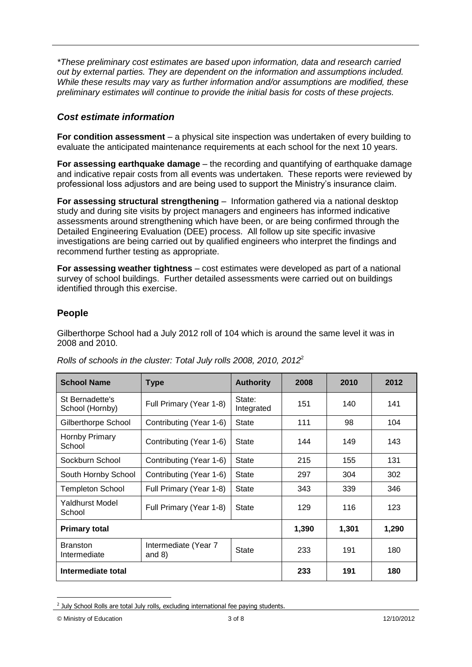*\*These preliminary cost estimates are based upon information, data and research carried out by external parties. They are dependent on the information and assumptions included. While these results may vary as further information and/or assumptions are modified, these preliminary estimates will continue to provide the initial basis for costs of these projects.*

#### *Cost estimate information*

**For condition assessment** – a physical site inspection was undertaken of every building to evaluate the anticipated maintenance requirements at each school for the next 10 years.

**For assessing earthquake damage** – the recording and quantifying of earthquake damage and indicative repair costs from all events was undertaken. These reports were reviewed by professional loss adjustors and are being used to support the Ministry"s insurance claim.

**For assessing structural strengthening** – Information gathered via a national desktop study and during site visits by project managers and engineers has informed indicative assessments around strengthening which have been, or are being confirmed through the Detailed Engineering Evaluation (DEE) process. All follow up site specific invasive investigations are being carried out by qualified engineers who interpret the findings and recommend further testing as appropriate.

**For assessing weather tightness** – cost estimates were developed as part of a national survey of school buildings. Further detailed assessments were carried out on buildings identified through this exercise.

#### **People**

Gilberthorpe School had a July 2012 roll of 104 which is around the same level it was in 2008 and 2010.

| <b>School Name</b>                 | <b>Type</b>                      | <b>Authority</b>     | 2008  | 2010  | 2012 |
|------------------------------------|----------------------------------|----------------------|-------|-------|------|
| St Bernadette's<br>School (Hornby) | Full Primary (Year 1-8)          | State:<br>Integrated | 151   | 140   | 141  |
| Gilberthorpe School                | Contributing (Year 1-6)          | State                | 111   | 98    | 104  |
| Hornby Primary<br>School           | Contributing (Year 1-6)          | State                | 144   | 149   | 143  |
| Sockburn School                    | Contributing (Year 1-6)          | State                | 215   | 155   | 131  |
| South Hornby School                | Contributing (Year 1-6)          | <b>State</b>         | 297   | 304   | 302  |
| <b>Templeton School</b>            | Full Primary (Year 1-8)          | <b>State</b>         | 343   | 339   | 346  |
| Yaldhurst Model<br>School          | Full Primary (Year 1-8)          | State                | 129   | 116   | 123  |
| <b>Primary total</b>               |                                  | 1,390                | 1,301 | 1,290 |      |
| <b>Branston</b><br>Intermediate    | Intermediate (Year 7<br>and $8)$ | <b>State</b>         | 233   | 191   | 180  |
| Intermediate total                 |                                  | 233                  | 191   | 180   |      |

*Rolls of schools in the cluster: Total July rolls 2008, 2010, 2012*<sup>2</sup>

<sup>1</sup>  $2$  July School Rolls are total July rolls, excluding international fee paying students.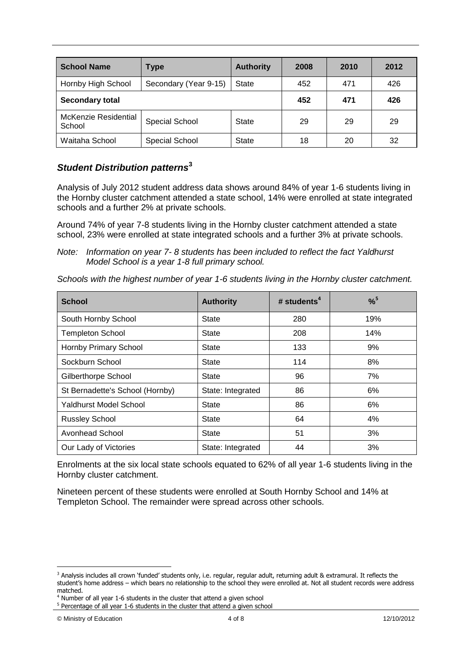| <b>School Name</b>             | Type                  | <b>Authority</b> | 2008 | 2010 | 2012 |
|--------------------------------|-----------------------|------------------|------|------|------|
| Hornby High School             | Secondary (Year 9-15) | State            | 452  | 471  | 426  |
| <b>Secondary total</b>         |                       | 452              | 471  | 426  |      |
| McKenzie Residential<br>School | Special School        | State            | 29   | 29   | 29   |
| Waitaha School                 | Special School        | <b>State</b>     | 18   | 20   | 32   |

#### *Student Distribution patterns***<sup>3</sup>**

Analysis of July 2012 student address data shows around 84% of year 1-6 students living in the Hornby cluster catchment attended a state school, 14% were enrolled at state integrated schools and a further 2% at private schools.

Around 74% of year 7-8 students living in the Hornby cluster catchment attended a state school, 23% were enrolled at state integrated schools and a further 3% at private schools.

*Note: Information on year 7- 8 students has been included to reflect the fact Yaldhurst Model School is a year 1-8 full primary school.*

*Schools with the highest number of year 1-6 students living in the Hornby cluster catchment.*

| <b>School</b>                   | <b>Authority</b>  | # students <sup>4</sup> | $%^{5}$ |
|---------------------------------|-------------------|-------------------------|---------|
| South Hornby School             | State             | 280                     | 19%     |
| <b>Templeton School</b>         | <b>State</b>      | 208                     | 14%     |
| Hornby Primary School           | <b>State</b>      | 133                     | 9%      |
| Sockburn School                 | State             | 114                     | 8%      |
| Gilberthorpe School             | <b>State</b>      | 96                      | 7%      |
| St Bernadette's School (Hornby) | State: Integrated | 86                      | 6%      |
| <b>Yaldhurst Model School</b>   | <b>State</b>      | 86                      | 6%      |
| <b>Russley School</b>           | State             | 64                      | 4%      |
| Avonhead School                 | <b>State</b>      | 51                      | 3%      |
| Our Lady of Victories           | State: Integrated | 44                      | 3%      |

Enrolments at the six local state schools equated to 62% of all year 1-6 students living in the Hornby cluster catchment.

Nineteen percent of these students were enrolled at South Hornby School and 14% at Templeton School. The remainder were spread across other schools.

 $3$  Analysis includes all crown 'funded' students only, i.e. regular, regular adult, returning adult & extramural. It reflects the student's home address – which bears no relationship to the school they were enrolled at. Not all student records were address matched.

<sup>4</sup> Number of all year 1-6 students in the cluster that attend a given school

<sup>&</sup>lt;sup>5</sup> Percentage of all year 1-6 students in the cluster that attend a given school

<sup>©</sup> Ministry of Education 4 of 8 12/10/2012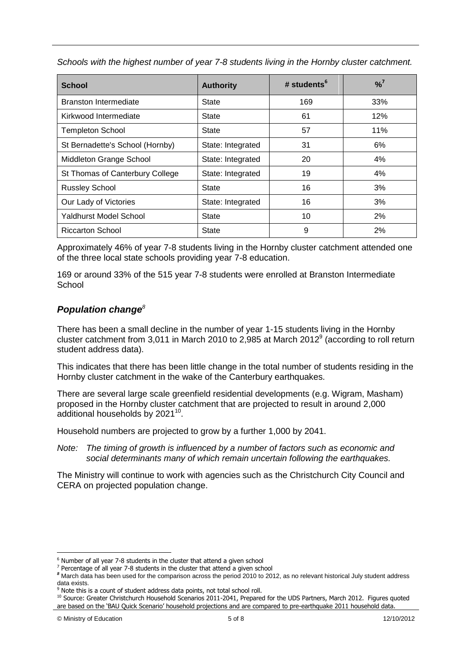| <b>School</b>                   | <b>Authority</b>  | # students $6$ | $\frac{9}{6}$ |
|---------------------------------|-------------------|----------------|---------------|
| <b>Branston Intermediate</b>    | State             | 169            | 33%           |
| Kirkwood Intermediate           | State             | 61             | 12%           |
| <b>Templeton School</b>         | State             | 57             | 11%           |
| St Bernadette's School (Hornby) | State: Integrated | 31             | 6%            |
| Middleton Grange School         | State: Integrated | 20             | 4%            |
| St Thomas of Canterbury College | State: Integrated | 19             | 4%            |
| <b>Russley School</b>           | <b>State</b>      | 16             | 3%            |
| Our Lady of Victories           | State: Integrated | 16             | 3%            |
| <b>Yaldhurst Model School</b>   | <b>State</b>      | 10             | 2%            |
| <b>Riccarton School</b>         | <b>State</b>      | 9              | 2%            |

*Schools with the highest number of year 7-8 students living in the Hornby cluster catchment.*

Approximately 46% of year 7-8 students living in the Hornby cluster catchment attended one of the three local state schools providing year 7-8 education.

169 or around 33% of the 515 year 7-8 students were enrolled at Branston Intermediate **School** 

#### *Population change<sup>8</sup>*

There has been a small decline in the number of year 1-15 students living in the Hornby cluster catchment from 3,011 in March 2010 to 2,985 at March 2012 $^9$  (according to roll return student address data).

This indicates that there has been little change in the total number of students residing in the Hornby cluster catchment in the wake of the Canterbury earthquakes.

There are several large scale greenfield residential developments (e.g. Wigram, Masham) proposed in the Hornby cluster catchment that are projected to result in around 2,000 additional households by 2021<sup>10</sup>.

Household numbers are projected to grow by a further 1,000 by 2041.

*Note: The timing of growth is influenced by a number of factors such as economic and social determinants many of which remain uncertain following the earthquakes.*

The Ministry will continue to work with agencies such as the Christchurch City Council and CERA on projected population change.

 $6$  Number of all year 7-8 students in the cluster that attend a given school

<sup>&</sup>lt;sup>7</sup> Percentage of all year 7-8 students in the cluster that attend a given school

*<sup>8</sup>* March data has been used for the comparison across the period 2010 to 2012, as no relevant historical July student address data exists.

<sup>&</sup>lt;sup>9</sup> Note this is a count of student address data points, not total school roll.

<sup>10</sup> Source: Greater Christchurch Household Scenarios 2011-2041, Prepared for the UDS Partners, March 2012. Figures quoted are based on the 'BAU Quick Scenario' household projections and are compared to pre-earthquake 2011 household data.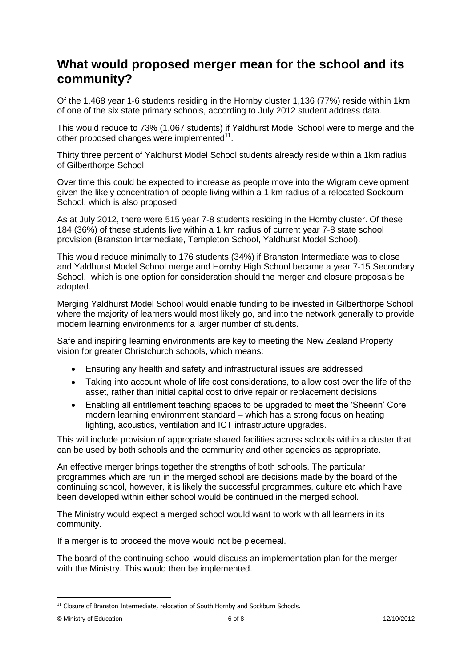### **What would proposed merger mean for the school and its community?**

Of the 1,468 year 1-6 students residing in the Hornby cluster 1,136 (77%) reside within 1km of one of the six state primary schools, according to July 2012 student address data.

This would reduce to 73% (1,067 students) if Yaldhurst Model School were to merge and the other proposed changes were implemented $11$ .

Thirty three percent of Yaldhurst Model School students already reside within a 1km radius of Gilberthorpe School.

Over time this could be expected to increase as people move into the Wigram development given the likely concentration of people living within a 1 km radius of a relocated Sockburn School, which is also proposed.

As at July 2012, there were 515 year 7-8 students residing in the Hornby cluster. Of these 184 (36%) of these students live within a 1 km radius of current year 7-8 state school provision (Branston Intermediate, Templeton School, Yaldhurst Model School).

This would reduce minimally to 176 students (34%) if Branston Intermediate was to close and Yaldhurst Model School merge and Hornby High School became a year 7-15 Secondary School, which is one option for consideration should the merger and closure proposals be adopted.

Merging Yaldhurst Model School would enable funding to be invested in Gilberthorpe School where the majority of learners would most likely go, and into the network generally to provide modern learning environments for a larger number of students.

Safe and inspiring learning environments are key to meeting the New Zealand Property vision for greater Christchurch schools, which means:

- Ensuring any health and safety and infrastructural issues are addressed
- Taking into account whole of life cost considerations, to allow cost over the life of the asset, rather than initial capital cost to drive repair or replacement decisions
- Enabling all entitlement teaching spaces to be upgraded to meet the "Sheerin" Core  $\bullet$ modern learning environment standard – which has a strong focus on heating lighting, acoustics, ventilation and ICT infrastructure upgrades.

This will include provision of appropriate shared facilities across schools within a cluster that can be used by both schools and the community and other agencies as appropriate.

An effective merger brings together the strengths of both schools. The particular programmes which are run in the merged school are decisions made by the board of the continuing school, however, it is likely the successful programmes, culture etc which have been developed within either school would be continued in the merged school.

The Ministry would expect a merged school would want to work with all learners in its community.

If a merger is to proceed the move would not be piecemeal.

The board of the continuing school would discuss an implementation plan for the merger with the Ministry. This would then be implemented.

<sup>&</sup>lt;sup>11</sup> Closure of Branston Intermediate, relocation of South Hornby and Sockburn Schools.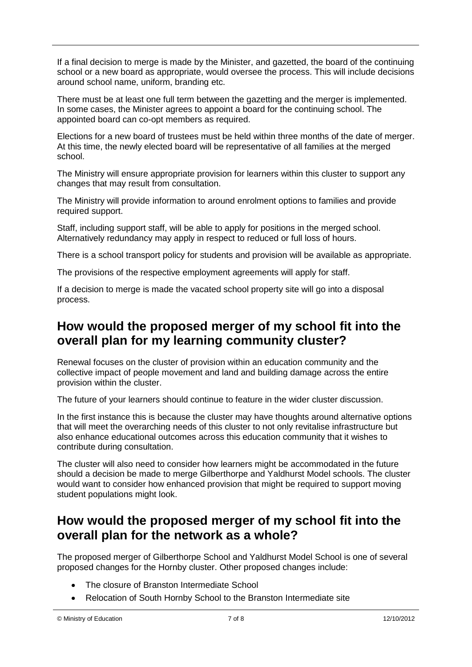If a final decision to merge is made by the Minister, and gazetted, the board of the continuing school or a new board as appropriate, would oversee the process. This will include decisions around school name, uniform, branding etc.

There must be at least one full term between the gazetting and the merger is implemented. In some cases, the Minister agrees to appoint a board for the continuing school. The appointed board can co-opt members as required.

Elections for a new board of trustees must be held within three months of the date of merger. At this time, the newly elected board will be representative of all families at the merged school.

The Ministry will ensure appropriate provision for learners within this cluster to support any changes that may result from consultation.

The Ministry will provide information to around enrolment options to families and provide required support.

Staff, including support staff, will be able to apply for positions in the merged school. Alternatively redundancy may apply in respect to reduced or full loss of hours.

There is a school transport policy for students and provision will be available as appropriate.

The provisions of the respective employment agreements will apply for staff.

If a decision to merge is made the vacated school property site will go into a disposal process.

### **How would the proposed merger of my school fit into the overall plan for my learning community cluster?**

Renewal focuses on the cluster of provision within an education community and the collective impact of people movement and land and building damage across the entire provision within the cluster.

The future of your learners should continue to feature in the wider cluster discussion.

In the first instance this is because the cluster may have thoughts around alternative options that will meet the overarching needs of this cluster to not only revitalise infrastructure but also enhance educational outcomes across this education community that it wishes to contribute during consultation.

The cluster will also need to consider how learners might be accommodated in the future should a decision be made to merge Gilberthorpe and Yaldhurst Model schools. The cluster would want to consider how enhanced provision that might be required to support moving student populations might look.

### **How would the proposed merger of my school fit into the overall plan for the network as a whole?**

The proposed merger of Gilberthorpe School and Yaldhurst Model School is one of several proposed changes for the Hornby cluster. Other proposed changes include:

- The closure of Branston Intermediate School
- Relocation of South Hornby School to the Branston Intermediate site